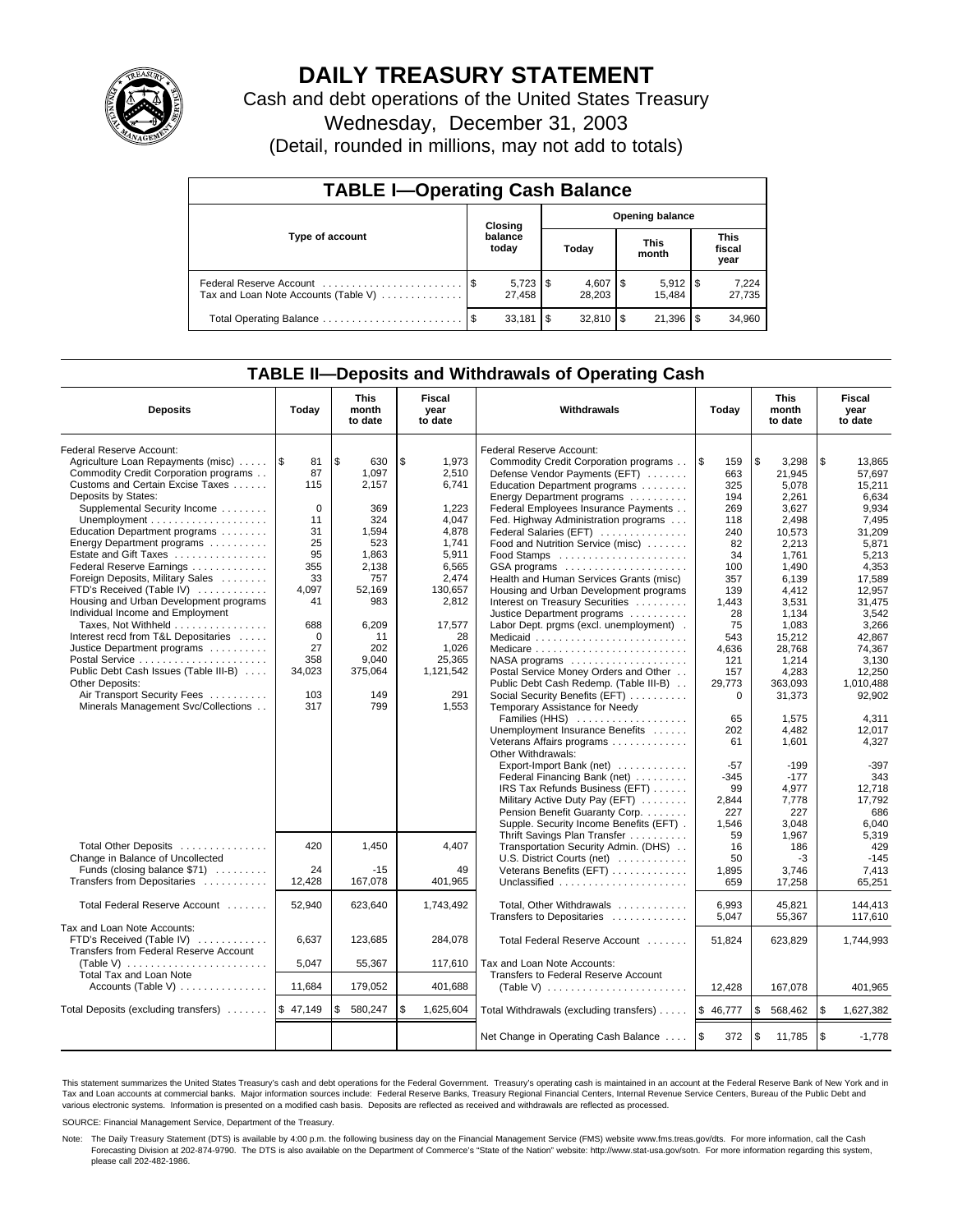

# **DAILY TREASURY STATEMENT**

Cash and debt operations of the United States Treasury Wednesday, December 31, 2003 (Detail, rounded in millions, may not add to totals)

| <b>TABLE I-Operating Cash Balance</b>                           |  |                  |                        |                          |  |                      |  |                               |  |
|-----------------------------------------------------------------|--|------------------|------------------------|--------------------------|--|----------------------|--|-------------------------------|--|
|                                                                 |  | Closing          | <b>Opening balance</b> |                          |  |                      |  |                               |  |
| Type of account                                                 |  | balance<br>today |                        | Today                    |  | <b>This</b><br>month |  | <b>This</b><br>fiscal<br>year |  |
| Federal Reserve Account<br>Tax and Loan Note Accounts (Table V) |  | 27.458           |                        | $4,607$ \ \ \$<br>28,203 |  | $5,912$ \$<br>15.484 |  | 7,224<br>27,735               |  |
|                                                                 |  | 33.181           | l \$                   |                          |  | 21,396               |  | 34,960                        |  |

## **TABLE II—Deposits and Withdrawals of Operating Cash**

| <b>Deposits</b>                                       | Today       | <b>This</b><br>month<br>to date | Fiscal<br>year<br>to date |           | Withdrawals                             | Today       | <b>This</b><br>month<br>to date |          | Fiscal<br>year<br>to date |
|-------------------------------------------------------|-------------|---------------------------------|---------------------------|-----------|-----------------------------------------|-------------|---------------------------------|----------|---------------------------|
| Federal Reserve Account:                              |             |                                 |                           |           | Federal Reserve Account:                |             |                                 |          |                           |
| Agriculture Loan Repayments (misc)                    | l \$<br>81  | \$<br>630                       | \$                        | 1,973     | Commodity Credit Corporation programs   | l\$<br>159  | \$<br>3.298                     | \$       | 13.865                    |
| Commodity Credit Corporation programs                 | 87          | 1.097                           |                           | 2,510     | Defense Vendor Payments (EFT)           | 663         | 21,945                          |          | 57.697                    |
| Customs and Certain Excise Taxes                      | 115         | 2.157                           |                           | 6,741     | Education Department programs           | 325         | 5,078                           |          | 15,211                    |
| Deposits by States:                                   |             |                                 |                           |           | Energy Department programs              | 194         | 2,261                           |          | 6,634                     |
| Supplemental Security Income                          | $\mathbf 0$ | 369                             |                           | 1,223     | Federal Employees Insurance Payments    | 269         | 3,627                           |          | 9,934                     |
|                                                       | 11          | 324                             |                           | 4,047     | Fed. Highway Administration programs    | 118         | 2,498                           |          | 7,495                     |
| Education Department programs                         | 31          | 1,594                           |                           | 4,878     | Federal Salaries (EFT)                  | 240         | 10.573                          |          | 31.209                    |
| Energy Department programs                            | 25          | 523                             |                           | 1.741     | Food and Nutrition Service (misc)       | 82          | 2,213                           |          | 5.871                     |
| Estate and Gift Taxes                                 | 95          | 1.863                           |                           | 5,911     | Food Stamps                             | 34          | 1.761                           |          | 5.213                     |
| Federal Reserve Earnings                              | 355         | 2,138                           |                           | 6,565     | GSA programs                            | 100         | 1,490                           |          | 4,353                     |
| Foreign Deposits, Military Sales                      | 33          | 757                             |                           | 2,474     | Health and Human Services Grants (misc) | 357         | 6,139                           |          | 17,589                    |
| FTD's Received (Table IV)                             | 4,097       | 52,169                          |                           | 130,657   | Housing and Urban Development programs  | 139         | 4,412                           |          | 12,957                    |
| Housing and Urban Development programs                | 41          | 983                             |                           | 2,812     | Interest on Treasury Securities         | 1,443       | 3,531                           |          | 31,475                    |
| Individual Income and Employment                      |             |                                 |                           |           | Justice Department programs             | 28          | 1,134                           |          | 3,542                     |
| Taxes, Not Withheld                                   | 688         | 6,209                           |                           | 17,577    | Labor Dept. prgms (excl. unemployment). | 75          | 1.083                           |          | 3.266                     |
| Interest recd from T&L Depositaries                   | $\mathbf 0$ | 11                              |                           | 28        | Medicaid                                | 543         | 15,212                          |          | 42.867                    |
| Justice Department programs                           | 27          | 202                             |                           | 1,026     |                                         | 4,636       | 28,768                          |          | 74,367                    |
| Postal Service                                        | 358         | 9,040                           |                           | 25,365    | NASA programs                           | 121         | 1,214                           |          | 3,130                     |
| Public Debt Cash Issues (Table III-B)                 | 34,023      | 375,064                         |                           | 1,121,542 | Postal Service Money Orders and Other   | 157         | 4,283                           |          | 12,250                    |
| Other Deposits:                                       |             |                                 |                           |           | Public Debt Cash Redemp. (Table III-B)  | 29,773      | 363.093                         |          | 1.010.488                 |
| Air Transport Security Fees                           | 103         | 149                             |                           | 291       | Social Security Benefits (EFT)          | 0           | 31,373                          |          | 92,902                    |
| Minerals Management Svc/Collections                   | 317         | 799                             |                           | 1,553     | Temporary Assistance for Needy          |             |                                 |          |                           |
|                                                       |             |                                 |                           |           | Families (HHS)                          | 65          | 1,575                           |          | 4,311                     |
|                                                       |             |                                 |                           |           | Unemployment Insurance Benefits         | 202         | 4,482                           |          | 12,017                    |
|                                                       |             |                                 |                           |           | Veterans Affairs programs               | 61          | 1,601                           |          | 4,327                     |
|                                                       |             |                                 |                           |           | Other Withdrawals:                      |             |                                 |          |                           |
|                                                       |             |                                 |                           |           | Export-Import Bank (net)                | $-57$       | $-199$                          |          | $-397$                    |
|                                                       |             |                                 |                           |           | Federal Financing Bank (net)            | $-345$      | $-177$                          |          | 343                       |
|                                                       |             |                                 |                           |           | IRS Tax Refunds Business (EFT)          | 99          | 4,977                           |          | 12.718                    |
|                                                       |             |                                 |                           |           | Military Active Duty Pay (EFT)          | 2,844       | 7,778                           |          | 17,792                    |
|                                                       |             |                                 |                           |           | Pension Benefit Guaranty Corp.          | 227         | 227                             |          | 686                       |
|                                                       |             |                                 |                           |           | Supple. Security Income Benefits (EFT). | 1.546       | 3.048                           |          | 6.040                     |
|                                                       |             |                                 |                           |           | Thrift Savings Plan Transfer            | 59          | 1,967                           |          | 5,319                     |
| Total Other Deposits                                  | 420         | 1,450                           |                           | 4.407     | Transportation Security Admin. (DHS)    | 16          | 186                             |          | 429                       |
| Change in Balance of Uncollected                      |             |                                 |                           |           | U.S. District Courts (net)              | 50          | -3                              |          | $-145$                    |
| Funds (closing balance \$71)                          | 24          | $-15$                           |                           | 49        | Veterans Benefits (EFT)                 | 1,895       | 3,746                           |          | 7,413                     |
| Transfers from Depositaries                           | 12,428      | 167,078                         |                           | 401,965   | Unclassified                            | 659         | 17,258                          |          | 65,251                    |
|                                                       |             |                                 |                           |           |                                         |             |                                 |          |                           |
| Total Federal Reserve Account                         | 52,940      | 623,640                         |                           | 1,743,492 | Total, Other Withdrawals                | 6.993       | 45.821                          |          | 144.413                   |
| Tax and Loan Note Accounts:                           |             |                                 |                           |           | Transfers to Depositaries               | 5.047       | 55,367                          |          | 117.610                   |
| FTD's Received (Table IV)                             | 6,637       | 123,685                         |                           | 284,078   |                                         |             |                                 |          |                           |
| Transfers from Federal Reserve Account                |             |                                 |                           |           | Total Federal Reserve Account           | 51,824      | 623,829                         |          | 1,744,993                 |
| (Table V) $\ldots \ldots \ldots \ldots \ldots \ldots$ | 5.047       | 55,367                          |                           | 117,610   | Tax and Loan Note Accounts:             |             |                                 |          |                           |
| Total Tax and Loan Note                               |             |                                 |                           |           | Transfers to Federal Reserve Account    |             |                                 |          |                           |
| Accounts (Table V) $\dots \dots \dots \dots$          | 11,684      | 179,052                         |                           | 401,688   |                                         | 12,428      | 167,078                         |          | 401,965                   |
|                                                       |             |                                 |                           |           |                                         |             |                                 |          |                           |
| Total Deposits (excluding transfers)                  | \$47,149    | \$<br>580,247                   | \$                        | 1,625,604 | Total Withdrawals (excluding transfers) | \$46,777    | \$<br>568,462                   | ۱\$      | 1,627,382                 |
|                                                       |             |                                 |                           |           | Net Change in Operating Cash Balance    | l \$<br>372 | \$<br>11,785                    | <b>S</b> | $-1,778$                  |

This statement summarizes the United States Treasury's cash and debt operations for the Federal Government. Treasury's operating cash is maintained in an account at the Federal Reserve Bank of New York and in Tax and Loan accounts at commercial banks. Major information sources include: Federal Reserve Banks, Treasury Regional Financial Centers, Internal Revenue Service Centers, Bureau of the Public Debt and<br>various electronic s

SOURCE: Financial Management Service, Department of the Treasury.

Note: The Daily Treasury Statement (DTS) is available by 4:00 p.m. the following business day on the Financial Management Service (FMS) website www.fms.treas.gov/dts. For more information, call the Cash Forecasting Division at 202-874-9790. The DTS is also available on the Department of Commerce's "State of the Nation" website: http://www.stat-usa.gov/sotn. For more information regarding this system, please call 202-482-1986.